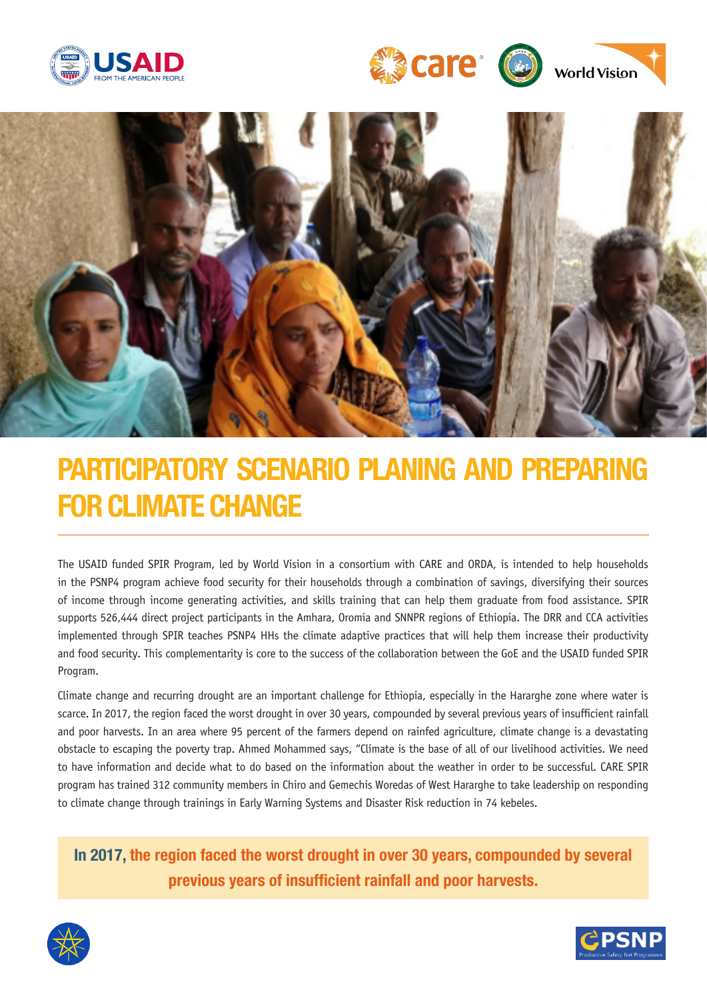





# PARTICIPATORY SCENARIO PLANING AND PREPARING FOR CLIMATE CHANGE

The USAID funded SPIR Program, led by World Vision in a consortium with CARE and ORDA, is intended to help households in the PSNP4 program achieve food security for their households through a combination of savings, diversifying their sources of income through income generating activities, and skills training that can help them graduate from food assistance. SPIR supports 526,444 direct project participants in the Amhara, Oromia and SNNPR regions of Ethiopia. The DRR and CCA activities implemented through SPIR teaches PSNP4 HHs the climate adaptive practices that will help them increase their productivity and food security. This complementarity is core to the success of the collaboration between the GoE and the USAID funded SPIR Program.

Climate change and recurring drought are an important challenge for Ethiopia, especially in the Hararghe zone where water is scarce. In 2017, the region faced the worst drought in over 30 years, compounded by several previous years of insufficient rainfall and poor harvests. In an area where 95 percent of the farmers depend on rainfed agriculture, climate change is a devastating obstacle to escaping the poverty trap. Ahmed Mohammed says, "Climate is the base of all of our livelihood activities. We need to have information and decide what to do based on the information about the weather in order to be successful. CARE SPIR program has trained 312 community members in Chiro and Gemechis Woredas of West Hararghe to take leadership on responding to climate change through trainings in Early Warning Systems and Disaster Risk reduction in 74 kebeles.

In 2017, the region faced the worst drought in over 30 years, compounded by several previous years of insufficient rainfall and poor harvests.



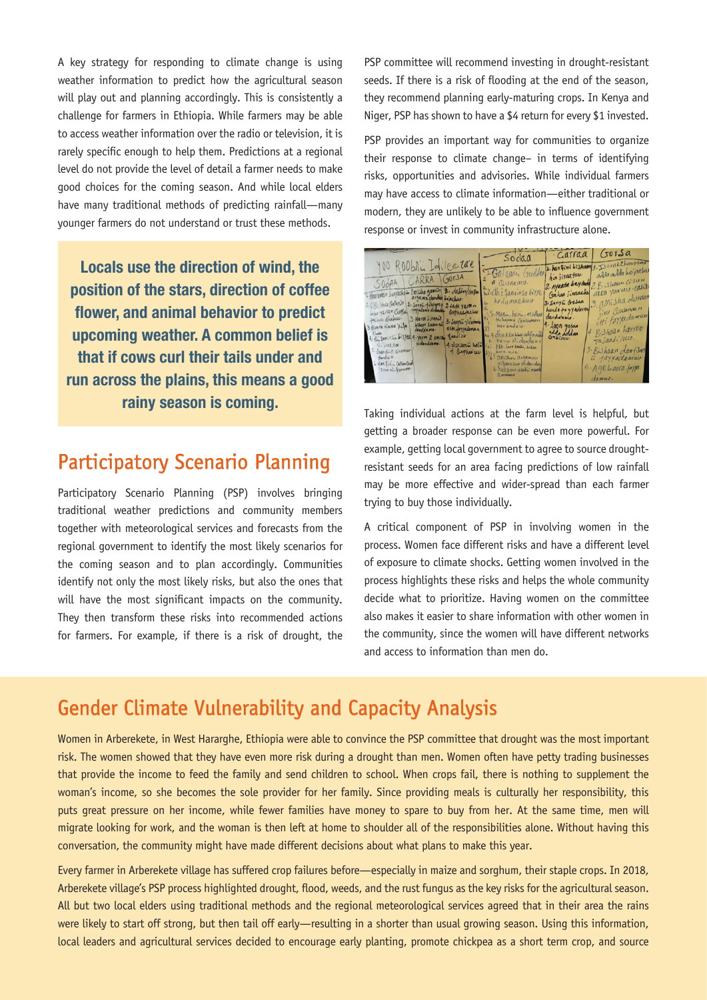A key strategy for responding to climate change is using weather information to predict how the agricultural season will play out and planning accordingly. This is consistently a challenge for farmers in Ethiopia. While farmers may be able to access weather information over the radio or television, it is rarely specific enough to help them. Predictions at a regional level do not provide the level of detail a farmer needs to make good choices for the coming season. And while local elders have many traditional methods of predicting rainfall—many younger farmers do not understand or trust these methods.

Locals use the direction of wind, the position of the stars, direction of coffee flower, and animal behavior to predict upcoming weather. A common belief is that if cows curl their tails under and run across the plains, this means a good rainy season is coming.

#### Participatory Scenario Planning

Participatory Scenario Planning (PSP) involves bringing traditional weather predictions and community members together with meteorological services and forecasts from the regional government to identify the most likely scenarios for the coming season and to plan accordingly. Communities identify not only the most likely risks, but also the ones that will have the most significant impacts on the community. They then transform these risks into recommended actions for farmers. For example, if there is a risk of drought, the

PSP committee will recommend investing in drought-resistant seeds. If there is a risk of flooding at the end of the season, they recommend planning early-maturing crops. In Kenya and Niger, PSP has shown to have a \$4 return for every \$1 invested.

PSP provides an important way for communities to organize their response to climate change– in terms of identifying risks, opportunities and advisories. While individual farmers may have access to climate information—either traditional or modern, they are unlikely to be able to influence government response or invest in community infrastructure alone.



Taking individual actions at the farm level is helpful, but getting a broader response can be even more powerful. For example, getting local government to agree to source droughtresistant seeds for an area facing predictions of low rainfall may be more effective and wider-spread than each farmer trying to buy those individually.

A critical component of PSP in involving women in the process. Women face different risks and have a different level of exposure to climate shocks. Getting women involved in the process highlights these risks and helps the whole community decide what to prioritize. Having women on the committee also makes it easier to share information with other women in the community, since the women will have different networks and access to information than men do.

## Gender Climate Vulnerability and Capacity Analysis

Women in Arberekete, in West Hararghe, Ethiopia were able to convince the PSP committee that drought was the most important risk. The women showed that they have even more risk during a drought than men. Women often have petty trading businesses that provide the income to feed the family and send children to school. When crops fail, there is nothing to supplement the woman's income, so she becomes the sole provider for her family. Since providing meals is culturally her responsibility, this puts great pressure on her income, while fewer families have money to spare to buy from her. At the same time, men will migrate looking for work, and the woman is then left at home to shoulder all of the responsibilities alone. Without having this conversation, the community might have made different decisions about what plans to make this year.

Every farmer in Arberekete village has suffered crop failures before—especially in maize and sorghum, their staple crops. In 2018, Arberekete village's PSP process highlighted drought, flood, weeds, and the rust fungus as the key risks for the agricultural season. All but two local elders using traditional methods and the regional meteorological services agreed that in their area the rains were likely to start off strong, but then tail off early—resulting in a shorter than usual growing season. Using this information, local leaders and agricultural services decided to encourage early planting, promote chickpea as a short term crop, and source